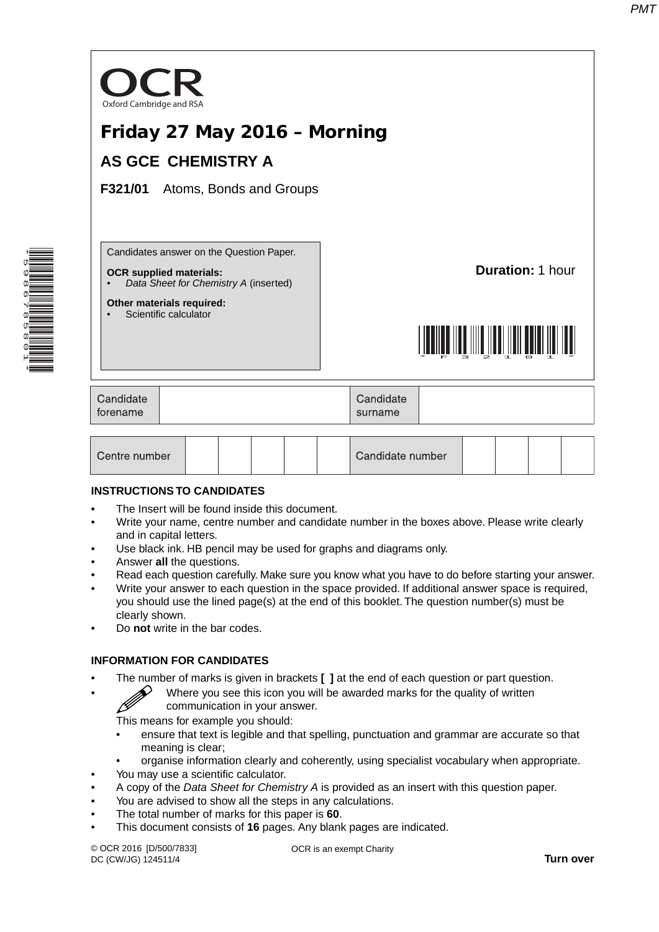

| Centre number | Candidate number |  |  |  |  |  |
|---------------|------------------|--|--|--|--|--|
|---------------|------------------|--|--|--|--|--|

#### **INSTRUCTIONS TO CANDIDATES**

\*5986785801\*

- The Insert will be found inside this document.
- Write your name, centre number and candidate number in the boxes above. Please write clearly and in capital letters.
- Use black ink. HB pencil may be used for graphs and diagrams only.
- Answer **all** the questions.
- Read each question carefully. Make sure you know what you have to do before starting your answer.
- Write your answer to each question in the space provided. If additional answer space is required, you should use the lined page(s) at the end of this booklet. The question number(s) must be clearly shown.
- Do **not** write in the bar codes.

### **INFORMATION FOR CANDIDATES**

- The number of marks is given in brackets **[ ]** at the end of each question or part question.
	- Where you see this icon you will be awarded marks for the quality of written communication in your answer.

This means for example you should:

- ensure that text is legible and that spelling, punctuation and grammar are accurate so that meaning is clear;
- organise information clearly and coherently, using specialist vocabulary when appropriate.
- You may use a scientific calculator.
- A copy of the *Data Sheet for Chemistry A* is provided as an insert with this question paper.
- You are advised to show all the steps in any calculations.
- The total number of marks for this paper is **60**.
- This document consists of **16** pages. Any blank pages are indicated.

© OCR 2016 [D/500/7833] DC (CW/JG) 124511/4

OCR is an exempt Charity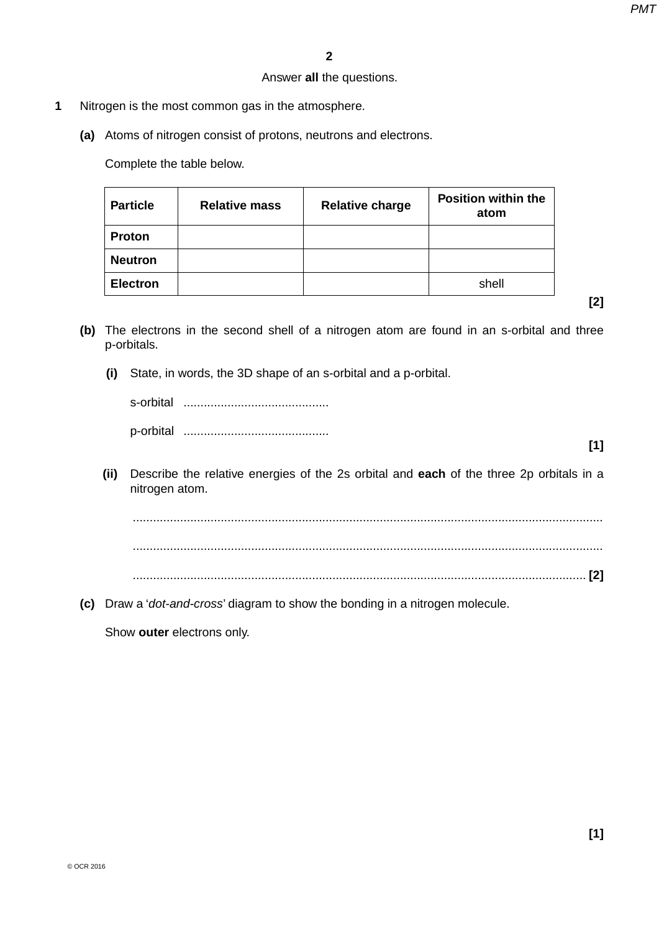# Answer **all** the questions.

- **1** Nitrogen is the most common gas in the atmosphere.
	- **(a)** Atoms of nitrogen consist of protons, neutrons and electrons.

Complete the table below.

| <b>Particle</b> | <b>Relative mass</b> | <b>Relative charge</b> | <b>Position within the</b><br>atom |
|-----------------|----------------------|------------------------|------------------------------------|
| <b>Proton</b>   |                      |                        |                                    |
| <b>Neutron</b>  |                      |                        |                                    |
| <b>Electron</b> |                      |                        | shell                              |

**[2]**

- **(b)** The electrons in the second shell of a nitrogen atom are found in an s-orbital and three p-orbitals.
	- **(i)** State, in words, the 3D shape of an s-orbital and a p-orbital.

| s-orbital |  |
|-----------|--|
| n-orbital |  |

- **[1]**
- **(ii)** Describe the relative energies of the 2s orbital and **each** of the three 2p orbitals in a nitrogen atom.

 ........................................................................................................................................... ........................................................................................................................................... ...................................................................................................................................... **[2]**

 **(c)** Draw a '*dot-and-cross*' diagram to show the bonding in a nitrogen molecule.

Show **outer** electrons only.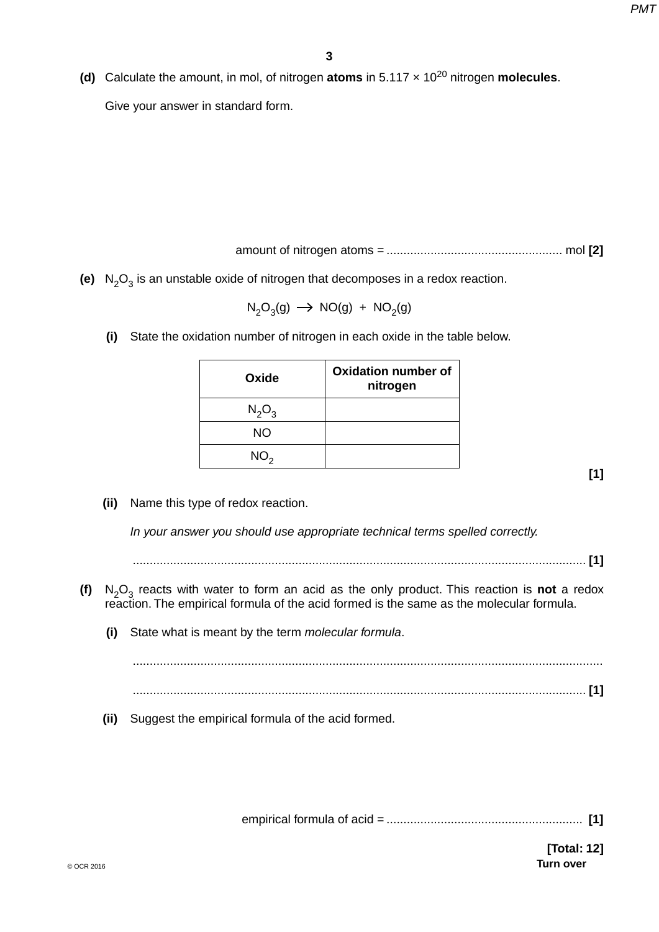**(d)** Calculate the amount, in mol, of nitrogen **atoms** in 5.117 x 10<sup>20</sup> nitrogen **molecules**.

Give your answer in standard form.

amount of nitrogen atoms = .................................................... mol **[2]**

**(e)**  $N_2O_3$  is an unstable oxide of nitrogen that decomposes in a redox reaction.

 $N_2O_3(g) \rightarrow NO(g) + NO_2(g)$ 

 **(i)** State the oxidation number of nitrogen in each oxide in the table below.

| Oxide           | <b>Oxidation number of</b><br>nitrogen |
|-----------------|----------------------------------------|
| $N_2O_3$        |                                        |
| <b>NO</b>       |                                        |
| NO <sub>2</sub> |                                        |

**[1]**

 **(ii)** Name this type of redox reaction.

*In your answer you should use appropriate technical terms spelled correctly.*

...................................................................................................................................... **[1]**

- **(f)**  $N_2O_3$  reacts with water to form an acid as the only product. This reaction is **not** a redox reaction. The empirical formula of the acid formed is the same as the molecular formula.
	- **(i)** State what is meant by the term *molecular formula*.

 ........................................................................................................................................... ...................................................................................................................................... **[1]**

 **(ii)** Suggest the empirical formula of the acid formed.

empirical formula of acid = .......................................................... **[1]**

© OCR 2016 **Turn over [Total: 12]**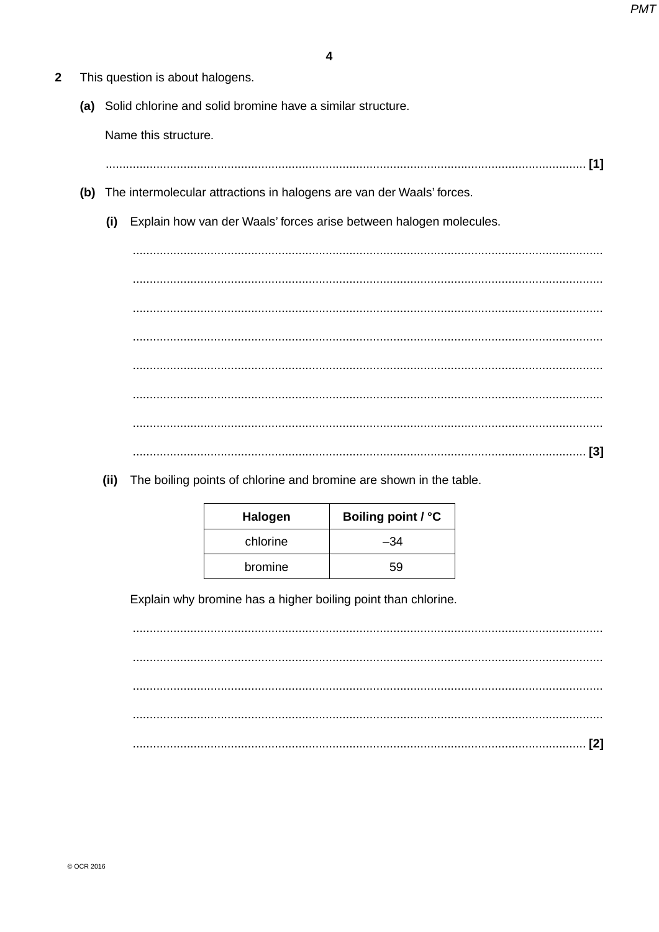- $\overline{2}$ This question is about halogens.
	- (a) Solid chlorine and solid bromine have a similar structure.

Name this structure.

- 
- (b) The intermolecular attractions in halogens are van der Waals' forces.
	- (i) Explain how van der Waals' forces arise between halogen molecules.

The boiling points of chlorine and bromine are shown in the table.  $(ii)$ 

| <b>Halogen</b> | Boiling point / °C |
|----------------|--------------------|
| chlorine       | -34                |
| bromine        | 59                 |

Explain why bromine has a higher boiling point than chlorine.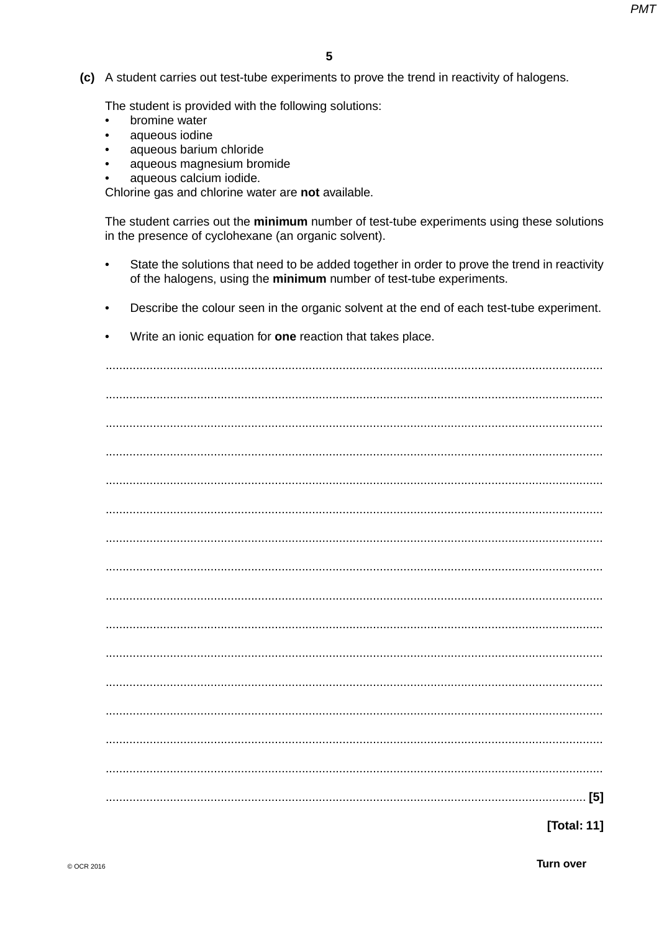(c) A student carries out test-tube experiments to prove the trend in reactivity of halogens.

The student is provided with the following solutions:

- bromine water  $\bullet$
- aqueous iodine  $\bullet$
- aqueous barium chloride
- aqueous magnesium bromide
- aqueous calcium iodide.

Chlorine gas and chlorine water are not available.

The student carries out the minimum number of test-tube experiments using these solutions in the presence of cyclohexane (an organic solvent).

- State the solutions that need to be added together in order to prove the trend in reactivity of the halogens, using the minimum number of test-tube experiments.
- Describe the colour seen in the organic solvent at the end of each test-tube experiment.  $\bullet$
- Write an ionic equation for one reaction that takes place.

[Total: 11]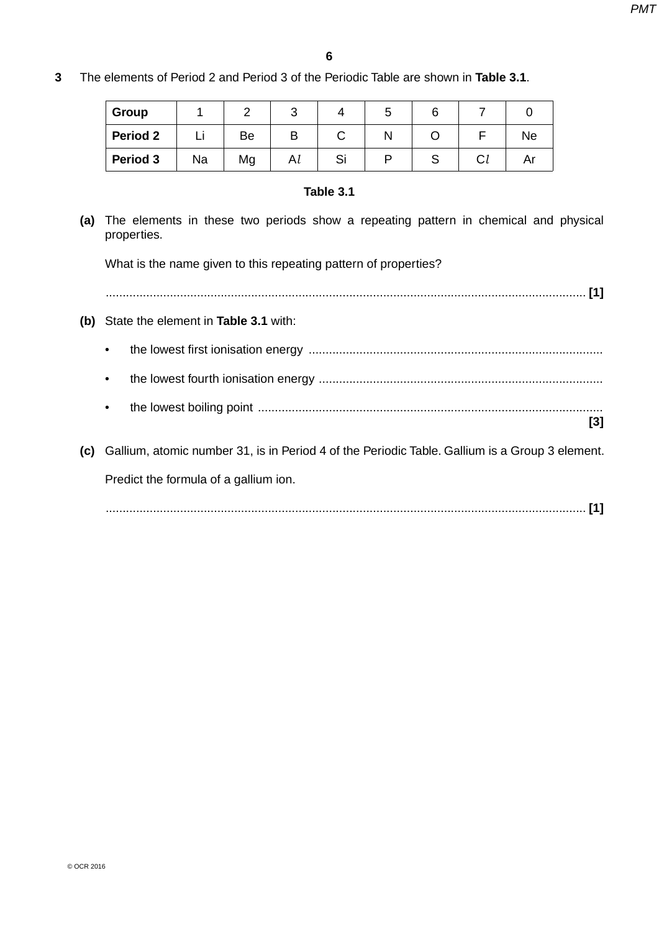**3** The elements of Period 2 and Period 3 of the Periodic Table are shown in **Table 3.1**.

| Group    |    |    | J  |    | Э |   |    |           |
|----------|----|----|----|----|---|---|----|-----------|
| Period 2 |    | Be | B  |    |   |   |    | <b>Ne</b> |
| Period 3 | Na | Mg | Al | ত। |   | ٮ | Cl | ΔI        |

## **Table 3.1**

 **(a)** The elements in these two periods show a repeating pattern in chemical and physical properties.

What is the name given to this repeating pattern of properties?

| (b) State the element in Table 3.1 with:                                                              |
|-------------------------------------------------------------------------------------------------------|
|                                                                                                       |
| ٠                                                                                                     |
| ٠<br>[3]                                                                                              |
|                                                                                                       |
| Gallium, atomic number 31, is in Period 4 of the Periodic Table. Gallium is a Group 3 element.<br>(C) |
| Predict the formula of a gallium ion.                                                                 |
|                                                                                                       |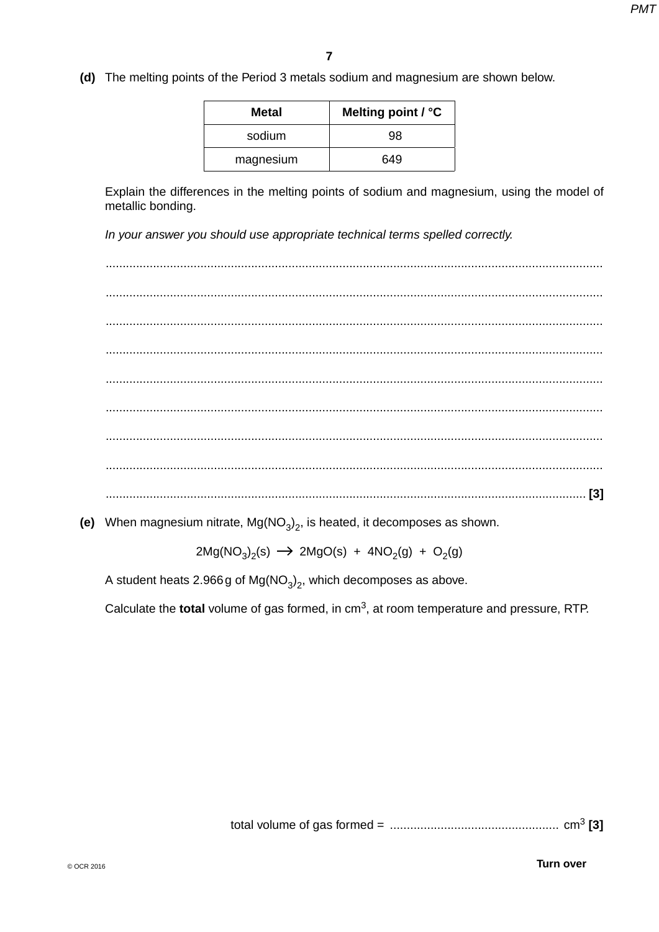(d) The melting points of the Period 3 metals sodium and magnesium are shown below.

| Metal     | Melting point / °C |
|-----------|--------------------|
| sodium    | 98                 |
| magnesium | 649                |

Explain the differences in the melting points of sodium and magnesium, using the model of metallic bonding.

In your answer you should use appropriate technical terms spelled correctly.

(e) When magnesium nitrate,  $Mg(NO<sub>3</sub>)<sub>2</sub>$ , is heated, it decomposes as shown.

 $2Mg(NO<sub>3</sub>)<sub>2</sub>(s)$   $\rightarrow$   $2MgO(s)$  +  $4NO<sub>2</sub>(g)$  +  $O<sub>2</sub>(g)$ 

A student heats 2.966 g of  $Mg(NO<sub>3</sub>)<sub>2</sub>$ , which decomposes as above.

Calculate the total volume of gas formed, in cm<sup>3</sup>, at room temperature and pressure, RTP.

**Turn over**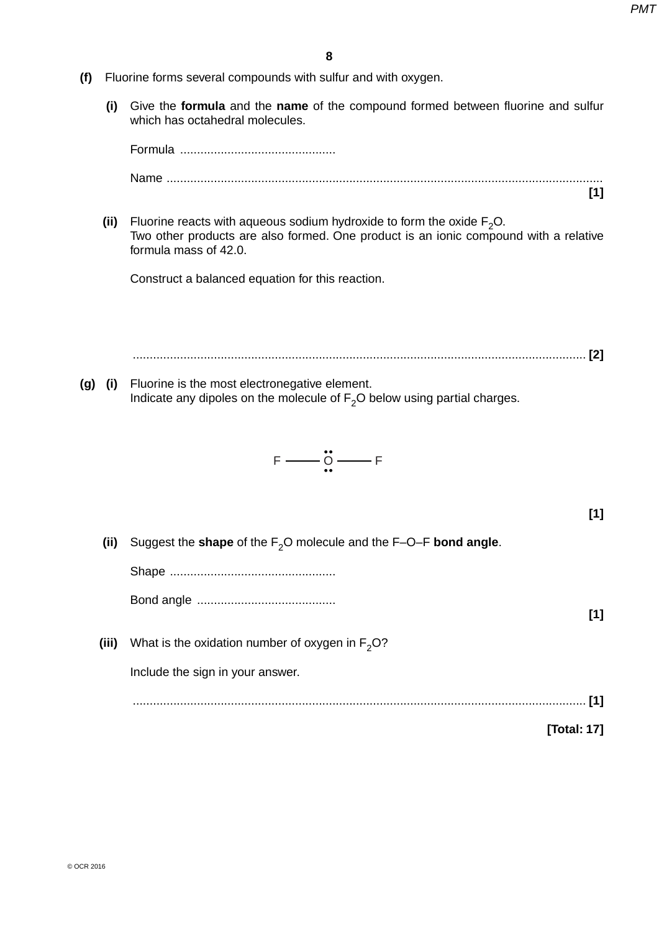- **(f)** Fluorine forms several compounds with sulfur and with oxygen.
	- **(i)** Give the **formula** and the **name** of the compound formed between fluorine and sulfur which has octahedral molecules.

 Formula .............................................. Name ................................................................................................................................. **[1] (ii)** Fluorine reacts with aqueous sodium hydroxide to form the oxide  $F_2O$ . Two other products are also formed. One product is an ionic compound with a relative formula mass of 42.0. Construct a balanced equation for this reaction. ...................................................................................................................................... **[2] (g) (i)** Fluorine is the most electronegative element. Indicate any dipoles on the molecule of  $F_2O$  below using partial charges.  $F \longrightarrow \stackrel{\bullet}{\Omega} \longrightarrow F$ **[1] (ii)** Suggest the **shape** of the F<sub>2</sub>O molecule and the F–O–F **bond angle**. Shape ................................................. Bond angle ......................................... **[1] (iii)** What is the oxidation number of oxygen in  $F_2O$ ? Include the sign in your answer. ...................................................................................................................................... **[1] [Total: 17]**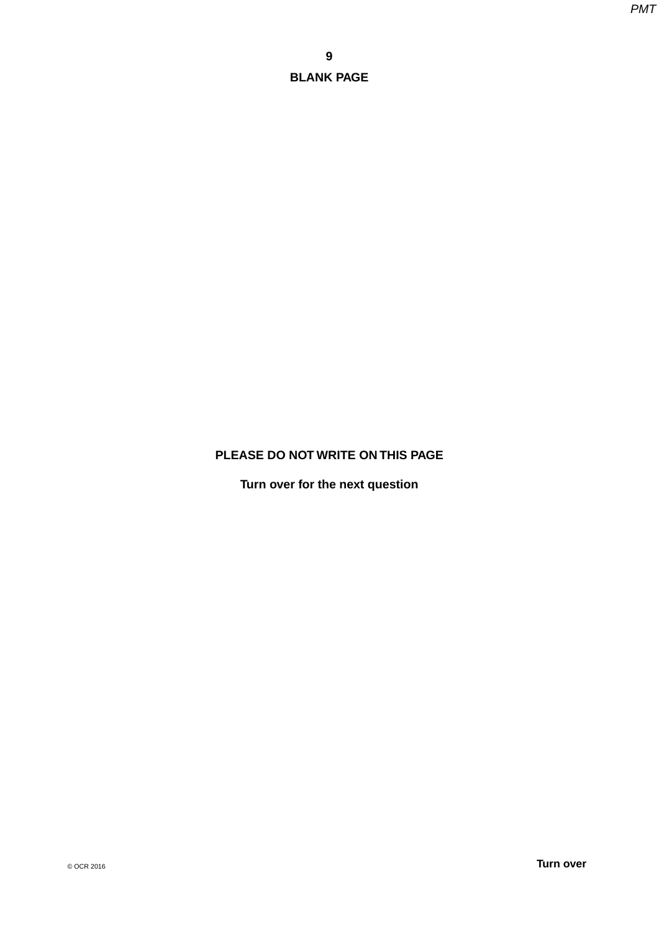# **PLEASE DO NOT WRITE ON THIS PAGE**

**Turn over for the next question**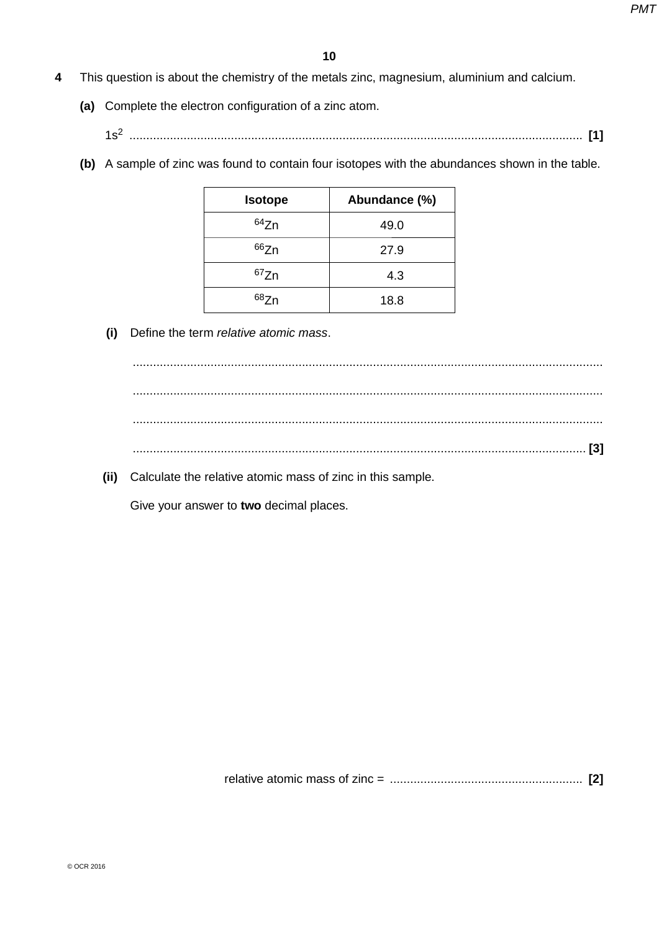- **4** This question is about the chemistry of the metals zinc, magnesium, aluminium and calcium.
	- **(a)** Complete the electron configuration of a zinc atom.
		- 1s2 ...................................................................................................................................... **[1]**
	- **(b)** A sample of zinc was found to contain four isotopes with the abundances shown in the table.

| <b>Isotope</b> | Abundance (%) |
|----------------|---------------|
| 64Zn           | 49.0          |
| 66Zn           | 27.9          |
| 67Zn           | 4.3           |
| 687n           | 18.8          |

 **(i)** Define the term *relative atomic mass*.



 **(ii)** Calculate the relative atomic mass of zinc in this sample.

Give your answer to **two** decimal places.

relative atomic mass of zinc = ......................................................... **[2]**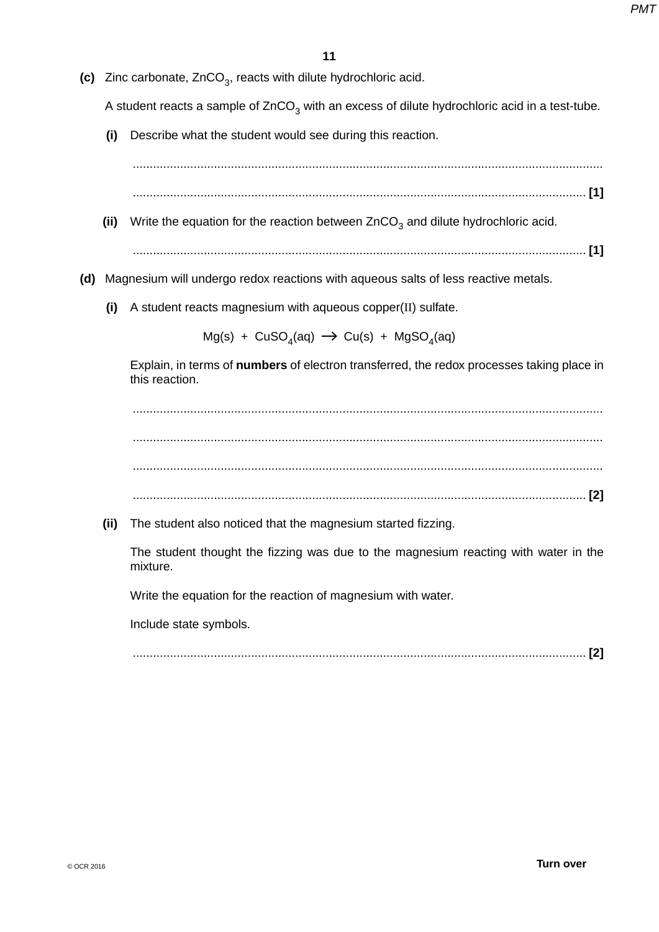**(c)** Zinc carbonate, ZnCO<sub>3</sub>, reacts with dilute hydrochloric acid.

A student reacts a sample of  $ZnCO<sub>3</sub>$  with an excess of dilute hydrochloric acid in a test-tube.

 **(i)** Describe what the student would see during this reaction.

...........................................................................................................................................

...................................................................................................................................... **[1]**

- (ii) Write the equation for the reaction between  $ZnCO<sub>3</sub>$  and dilute hydrochloric acid.
	- ...................................................................................................................................... **[1]**
- **(d)** Magnesium will undergo redox reactions with aqueous salts of less reactive metals.
	- **(i)** A student reacts magnesium with aqueous copper(II) sulfate.

 $Mg(s) + CuSO<sub>4</sub>(aq) \rightarrow Cu(s) + MgSO<sub>4</sub>(aq)$ 

Explain, in terms of **numbers** of electron transferred, the redox processes taking place in this reaction.

 ........................................................................................................................................... ........................................................................................................................................... ........................................................................................................................................... ...................................................................................................................................... **[2]**

 **(ii)** The student also noticed that the magnesium started fizzing.

The student thought the fizzing was due to the magnesium reacting with water in the mixture.

Write the equation for the reaction of magnesium with water.

Include state symbols.

...................................................................................................................................... **[2]**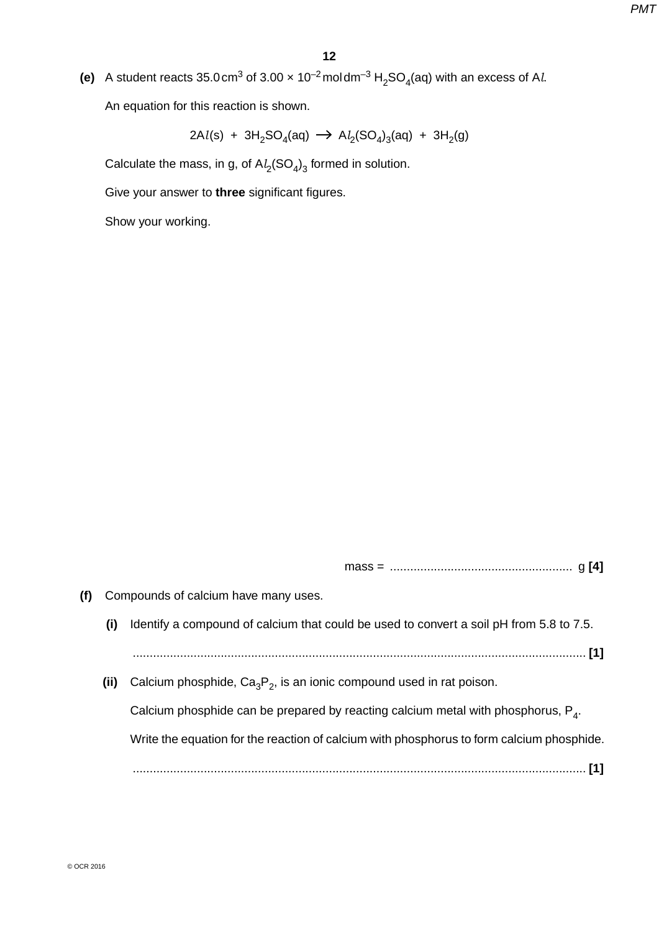(e) A student reacts  $35.0 \text{ cm}^3$  of  $3.00 \times 10^{-2} \text{mol} \text{ cm}^{-3} \text{ H}_2 \text{SO}_4(\text{aq})$  with an excess of A*l.* An equation for this reaction is shown.

 $2 \text{Al}(s)$  + 3H<sub>2</sub>SO<sub>4</sub>(aq)  $\rightarrow$  A*l*<sub>2</sub>(SO<sub>4</sub>)<sub>3</sub>(aq) + 3H<sub>2</sub>(g)

Calculate the mass, in g, of  $\mathsf{Al}_2(\mathsf{SO}_4)_3$  formed in solution.

Give your answer to **three** significant figures.

Show your working.

mass = ...................................................... g **[4]**

- **(f)** Compounds of calcium have many uses.
	- **(i)** Identify a compound of calcium that could be used to convert a soil pH from 5.8 to 7.5.

...................................................................................................................................... **[1]**

(ii) Calcium phosphide,  $Ca_3P_2$ , is an ionic compound used in rat poison.

Calcium phosphide can be prepared by reacting calcium metal with phosphorus, P4.

Write the equation for the reaction of calcium with phosphorus to form calcium phosphide.

...................................................................................................................................... **[1]**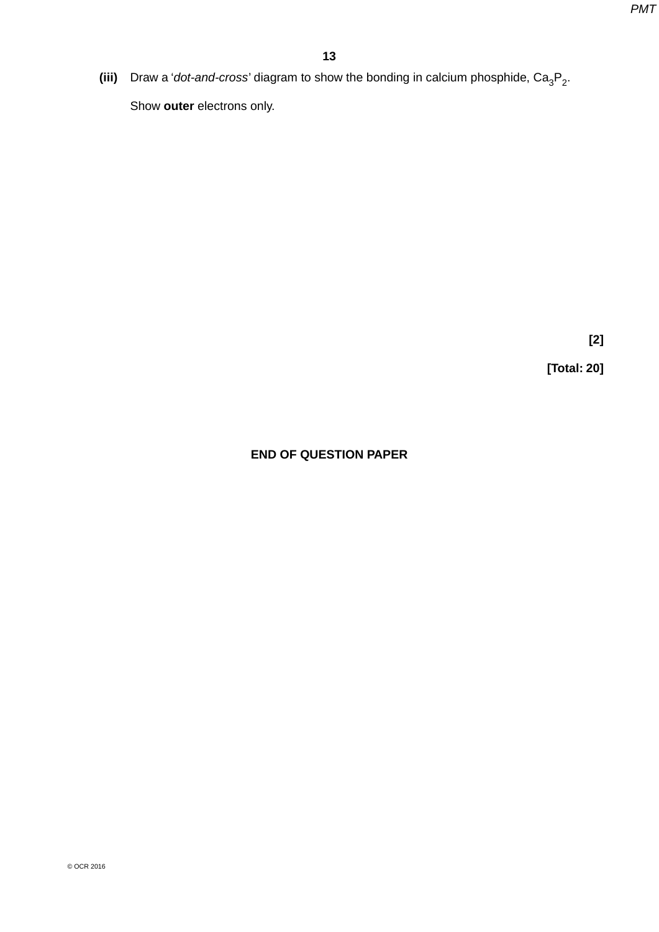(iii) Draw a '*dot-and-cross*' diagram to show the bonding in calcium phosphide,  $Ca_{3}P_{2}$ .

Show **outer** electrons only.

**[2]**

**[Total: 20]**

# **END OF QUESTION PAPER**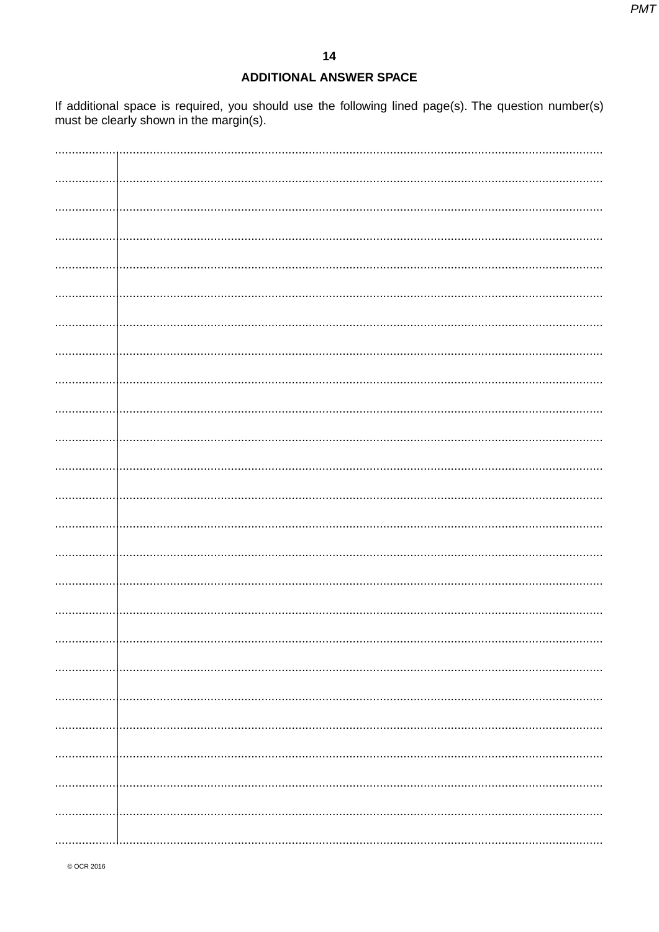# **ADDITIONAL ANSWER SPACE**

If additional space is required, you should use the following lined page(s). The question number(s) must be clearly shown in the margin(s).

| . 1 |  |
|-----|--|
|     |  |
|     |  |
|     |  |
|     |  |
|     |  |
|     |  |
|     |  |